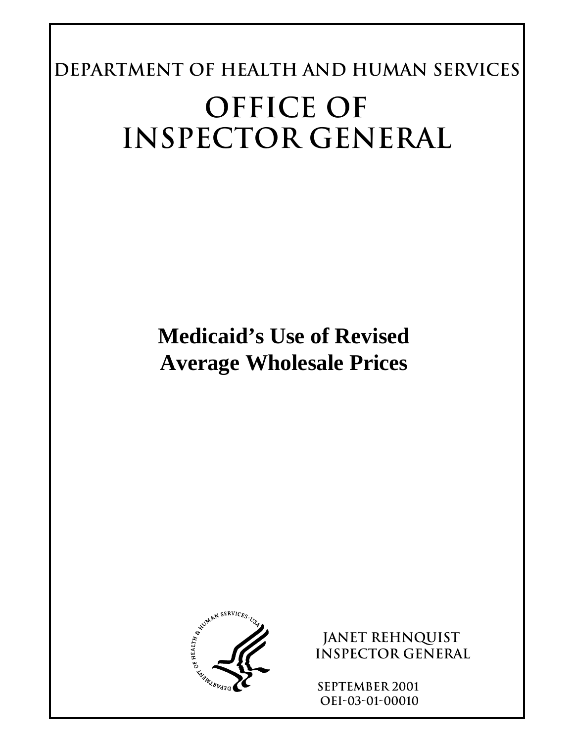**Department of Health and Human Services OFFICE OF INSPECTOR GENERAL** 

> **Medicaid's Use of Revised Average Wholesale Prices**



**JANET REHNQUIST Inspector General** 

**SEPTEMBER 2001 OEI-03-01-00010**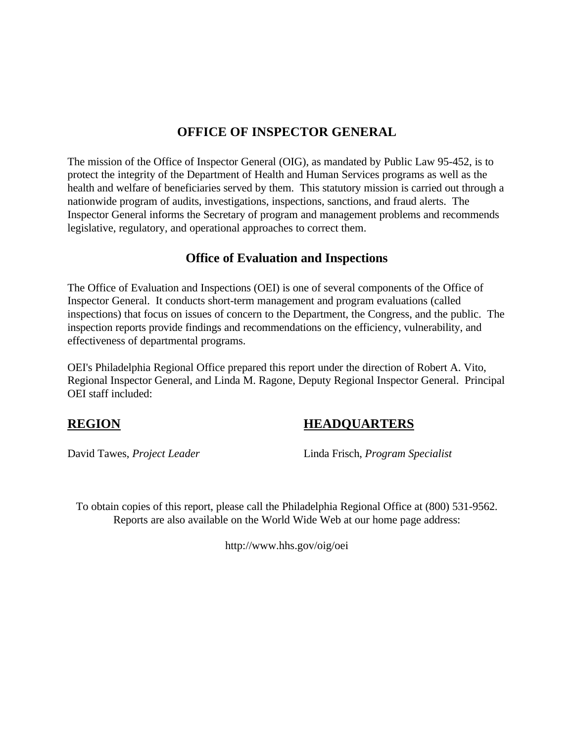### **OFFICE OF INSPECTOR GENERAL**

The mission of the Office of Inspector General (OIG), as mandated by Public Law 95-452, is to protect the integrity of the Department of Health and Human Services programs as well as the health and welfare of beneficiaries served by them. This statutory mission is carried out through a nationwide program of audits, investigations, inspections, sanctions, and fraud alerts. The Inspector General informs the Secretary of program and management problems and recommends legislative, regulatory, and operational approaches to correct them.

### **Office of Evaluation and Inspections**

The Office of Evaluation and Inspections (OEI) is one of several components of the Office of Inspector General. It conducts short-term management and program evaluations (called inspections) that focus on issues of concern to the Department, the Congress, and the public. The inspection reports provide findings and recommendations on the efficiency, vulnerability, and effectiveness of departmental programs.

OEI's Philadelphia Regional Office prepared this report under the direction of Robert A. Vito, Regional Inspector General, and Linda M. Ragone, Deputy Regional Inspector General. Principal OEI staff included:

### **REGION HEADQUARTERS**

David Tawes, *Project Leader* Linda Frisch, *Program Specialist* 

To obtain copies of this report, please call the Philadelphia Regional Office at (800) 531-9562. Reports are also available on the World Wide Web at our home page address:

http://www.hhs.gov/oig/oei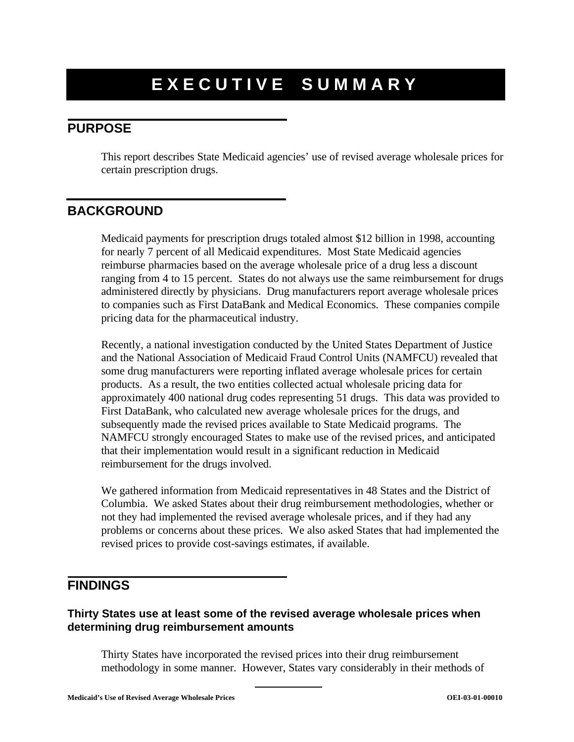# **EXECUTIVE SUMMARY**

# **PURPOSE**

This report describes State Medicaid agencies' use of revised average wholesale prices for certain prescription drugs.

### **BACKGROUND**

Medicaid payments for prescription drugs totaled almost \$12 billion in 1998, accounting for nearly 7 percent of all Medicaid expenditures. Most State Medicaid agencies reimburse pharmacies based on the average wholesale price of a drug less a discount ranging from 4 to 15 percent. States do not always use the same reimbursement for drugs administered directly by physicians. Drug manufacturers report average wholesale prices to companies such as First DataBank and Medical Economics. These companies compile pricing data for the pharmaceutical industry.

Recently, a national investigation conducted by the United States Department of Justice and the National Association of Medicaid Fraud Control Units (NAMFCU) revealed that some drug manufacturers were reporting inflated average wholesale prices for certain products. As a result, the two entities collected actual wholesale pricing data for approximately 400 national drug codes representing 51 drugs. This data was provided to First DataBank, who calculated new average wholesale prices for the drugs, and subsequently made the revised prices available to State Medicaid programs. The NAMFCU strongly encouraged States to make use of the revised prices, and anticipated that their implementation would result in a significant reduction in Medicaid reimbursement for the drugs involved.

We gathered information from Medicaid representatives in 48 States and the District of Columbia. We asked States about their drug reimbursement methodologies, whether or not they had implemented the revised average wholesale prices, and if they had any problems or concerns about these prices. We also asked States that had implemented the revised prices to provide cost-savings estimates, if available.

#### **FINDINGS**

#### **Thirty States use at least some of the revised average wholesale prices when determining drug reimbursement amounts**

Thirty States have incorporated the revised prices into their drug reimbursement methodology in some manner. However, States vary considerably in their methods of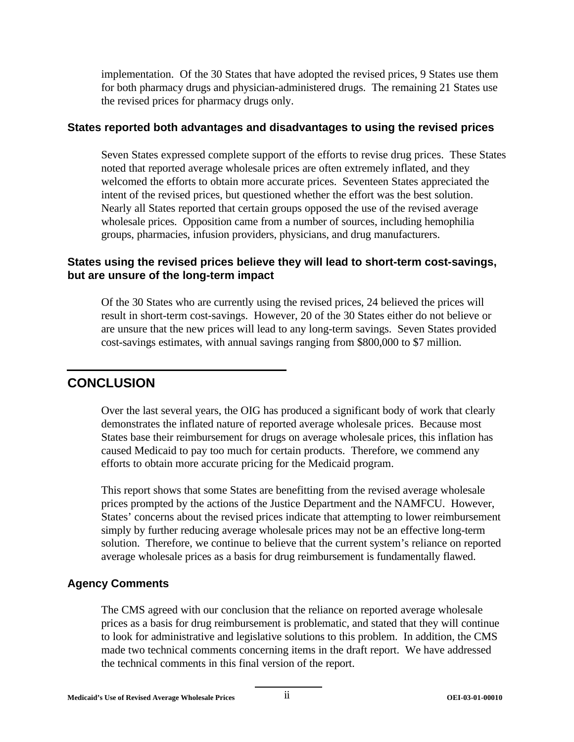implementation. Of the 30 States that have adopted the revised prices, 9 States use them for both pharmacy drugs and physician-administered drugs. The remaining 21 States use the revised prices for pharmacy drugs only.

#### **States reported both advantages and disadvantages to using the revised prices**

Seven States expressed complete support of the efforts to revise drug prices. These States noted that reported average wholesale prices are often extremely inflated, and they welcomed the efforts to obtain more accurate prices. Seventeen States appreciated the intent of the revised prices, but questioned whether the effort was the best solution. Nearly all States reported that certain groups opposed the use of the revised average wholesale prices. Opposition came from a number of sources, including hemophilia groups, pharmacies, infusion providers, physicians, and drug manufacturers.

#### **States using the revised prices believe they will lead to short-term cost-savings, but are unsure of the long-term impact**

Of the 30 States who are currently using the revised prices, 24 believed the prices will result in short-term cost-savings. However, 20 of the 30 States either do not believe or are unsure that the new prices will lead to any long-term savings. Seven States provided cost-savings estimates, with annual savings ranging from \$800,000 to \$7 million.

# **CONCLUSION**

Over the last several years, the OIG has produced a significant body of work that clearly demonstrates the inflated nature of reported average wholesale prices. Because most States base their reimbursement for drugs on average wholesale prices, this inflation has caused Medicaid to pay too much for certain products. Therefore, we commend any efforts to obtain more accurate pricing for the Medicaid program.

This report shows that some States are benefitting from the revised average wholesale prices prompted by the actions of the Justice Department and the NAMFCU. However, States' concerns about the revised prices indicate that attempting to lower reimbursement simply by further reducing average wholesale prices may not be an effective long-term solution. Therefore, we continue to believe that the current system's reliance on reported average wholesale prices as a basis for drug reimbursement is fundamentally flawed.

#### **Agency Comments**

The CMS agreed with our conclusion that the reliance on reported average wholesale prices as a basis for drug reimbursement is problematic, and stated that they will continue to look for administrative and legislative solutions to this problem. In addition, the CMS made two technical comments concerning items in the draft report. We have addressed the technical comments in this final version of the report.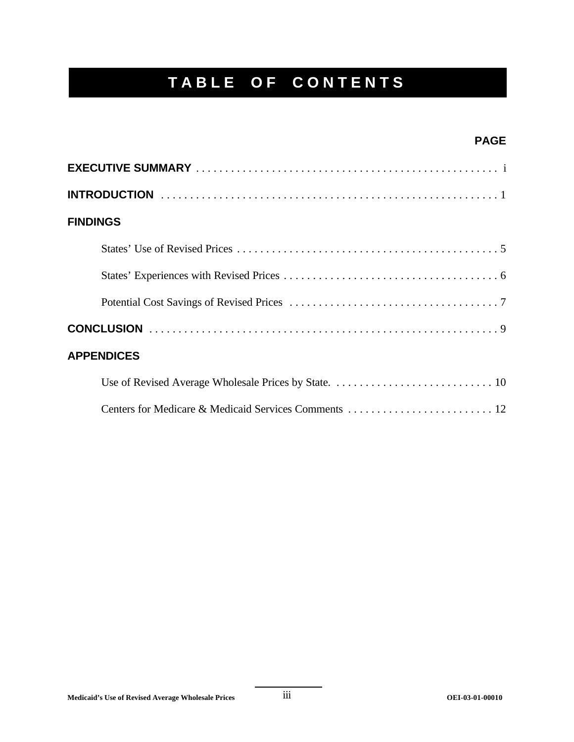# **TABLE OF CONTENTS**

### **PAGE**

| <b>FINDINGS</b>   |
|-------------------|
|                   |
|                   |
|                   |
|                   |
| <b>APPENDICES</b> |
|                   |
|                   |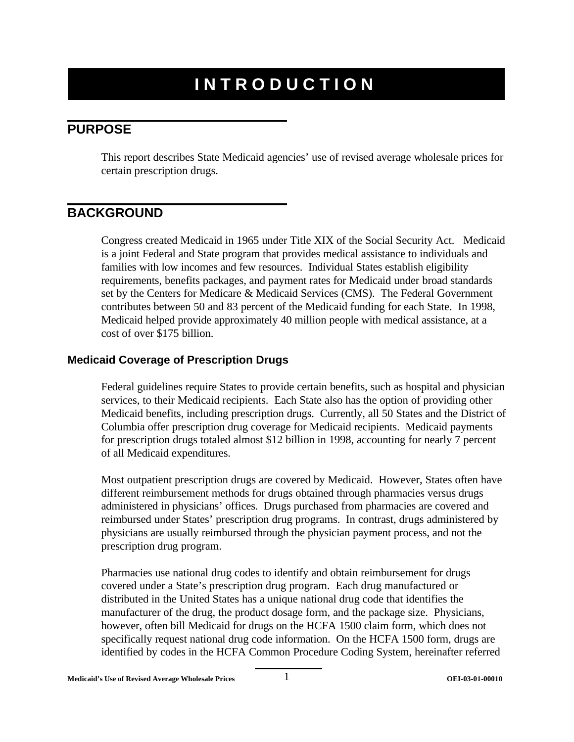# **INTRODUCTION**

### **PURPOSE**

This report describes State Medicaid agencies' use of revised average wholesale prices for certain prescription drugs.

# **BACKGROUND**

Congress created Medicaid in 1965 under Title XIX of the Social Security Act. Medicaid is a joint Federal and State program that provides medical assistance to individuals and families with low incomes and few resources. Individual States establish eligibility requirements, benefits packages, and payment rates for Medicaid under broad standards set by the Centers for Medicare & Medicaid Services (CMS). The Federal Government contributes between 50 and 83 percent of the Medicaid funding for each State. In 1998, Medicaid helped provide approximately 40 million people with medical assistance, at a cost of over \$175 billion.

#### **Medicaid Coverage of Prescription Drugs**

Federal guidelines require States to provide certain benefits, such as hospital and physician services, to their Medicaid recipients. Each State also has the option of providing other Medicaid benefits, including prescription drugs. Currently, all 50 States and the District of Columbia offer prescription drug coverage for Medicaid recipients. Medicaid payments for prescription drugs totaled almost \$12 billion in 1998, accounting for nearly 7 percent of all Medicaid expenditures.

Most outpatient prescription drugs are covered by Medicaid. However, States often have different reimbursement methods for drugs obtained through pharmacies versus drugs administered in physicians' offices. Drugs purchased from pharmacies are covered and reimbursed under States' prescription drug programs. In contrast, drugs administered by physicians are usually reimbursed through the physician payment process, and not the prescription drug program.

Pharmacies use national drug codes to identify and obtain reimbursement for drugs covered under a State's prescription drug program. Each drug manufactured or distributed in the United States has a unique national drug code that identifies the manufacturer of the drug, the product dosage form, and the package size. Physicians, however, often bill Medicaid for drugs on the HCFA 1500 claim form, which does not specifically request national drug code information. On the HCFA 1500 form, drugs are identified by codes in the HCFA Common Procedure Coding System, hereinafter referred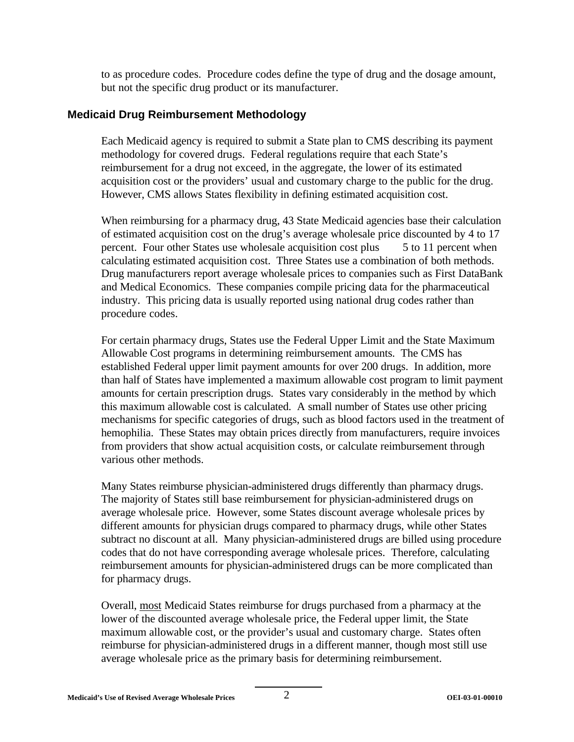to as procedure codes. Procedure codes define the type of drug and the dosage amount, but not the specific drug product or its manufacturer.

#### **Medicaid Drug Reimbursement Methodology**

Each Medicaid agency is required to submit a State plan to CMS describing its payment methodology for covered drugs. Federal regulations require that each State's reimbursement for a drug not exceed, in the aggregate, the lower of its estimated acquisition cost or the providers' usual and customary charge to the public for the drug. However, CMS allows States flexibility in defining estimated acquisition cost.

When reimbursing for a pharmacy drug, 43 State Medicaid agencies base their calculation of estimated acquisition cost on the drug's average wholesale price discounted by 4 to 17 percent. Four other States use wholesale acquisition cost plus 5 to 11 percent when calculating estimated acquisition cost. Three States use a combination of both methods. Drug manufacturers report average wholesale prices to companies such as First DataBank and Medical Economics. These companies compile pricing data for the pharmaceutical industry. This pricing data is usually reported using national drug codes rather than procedure codes.

For certain pharmacy drugs, States use the Federal Upper Limit and the State Maximum Allowable Cost programs in determining reimbursement amounts. The CMS has established Federal upper limit payment amounts for over 200 drugs. In addition, more than half of States have implemented a maximum allowable cost program to limit payment amounts for certain prescription drugs. States vary considerably in the method by which this maximum allowable cost is calculated. A small number of States use other pricing mechanisms for specific categories of drugs, such as blood factors used in the treatment of hemophilia. These States may obtain prices directly from manufacturers, require invoices from providers that show actual acquisition costs, or calculate reimbursement through various other methods.

Many States reimburse physician-administered drugs differently than pharmacy drugs. The majority of States still base reimbursement for physician-administered drugs on average wholesale price. However, some States discount average wholesale prices by different amounts for physician drugs compared to pharmacy drugs, while other States subtract no discount at all. Many physician-administered drugs are billed using procedure codes that do not have corresponding average wholesale prices. Therefore, calculating reimbursement amounts for physician-administered drugs can be more complicated than for pharmacy drugs.

Overall, most Medicaid States reimburse for drugs purchased from a pharmacy at the lower of the discounted average wholesale price, the Federal upper limit, the State maximum allowable cost, or the provider's usual and customary charge. States often reimburse for physician-administered drugs in a different manner, though most still use average wholesale price as the primary basis for determining reimbursement.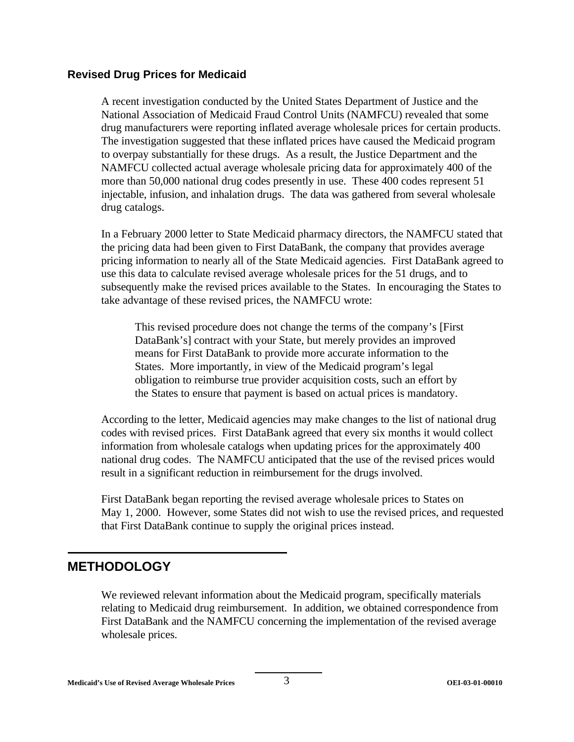#### **Revised Drug Prices for Medicaid**

A recent investigation conducted by the United States Department of Justice and the National Association of Medicaid Fraud Control Units (NAMFCU) revealed that some drug manufacturers were reporting inflated average wholesale prices for certain products. The investigation suggested that these inflated prices have caused the Medicaid program to overpay substantially for these drugs. As a result, the Justice Department and the NAMFCU collected actual average wholesale pricing data for approximately 400 of the more than 50,000 national drug codes presently in use. These 400 codes represent 51 injectable, infusion, and inhalation drugs. The data was gathered from several wholesale drug catalogs.

In a February 2000 letter to State Medicaid pharmacy directors, the NAMFCU stated that the pricing data had been given to First DataBank, the company that provides average pricing information to nearly all of the State Medicaid agencies. First DataBank agreed to use this data to calculate revised average wholesale prices for the 51 drugs, and to subsequently make the revised prices available to the States. In encouraging the States to take advantage of these revised prices, the NAMFCU wrote:

This revised procedure does not change the terms of the company's [First DataBank's] contract with your State, but merely provides an improved means for First DataBank to provide more accurate information to the States. More importantly, in view of the Medicaid program's legal obligation to reimburse true provider acquisition costs, such an effort by the States to ensure that payment is based on actual prices is mandatory.

According to the letter, Medicaid agencies may make changes to the list of national drug codes with revised prices. First DataBank agreed that every six months it would collect information from wholesale catalogs when updating prices for the approximately 400 national drug codes. The NAMFCU anticipated that the use of the revised prices would result in a significant reduction in reimbursement for the drugs involved.

First DataBank began reporting the revised average wholesale prices to States on May 1, 2000. However, some States did not wish to use the revised prices, and requested that First DataBank continue to supply the original prices instead.

#### **METHODOLOGY**

We reviewed relevant information about the Medicaid program, specifically materials relating to Medicaid drug reimbursement. In addition, we obtained correspondence from First DataBank and the NAMFCU concerning the implementation of the revised average wholesale prices.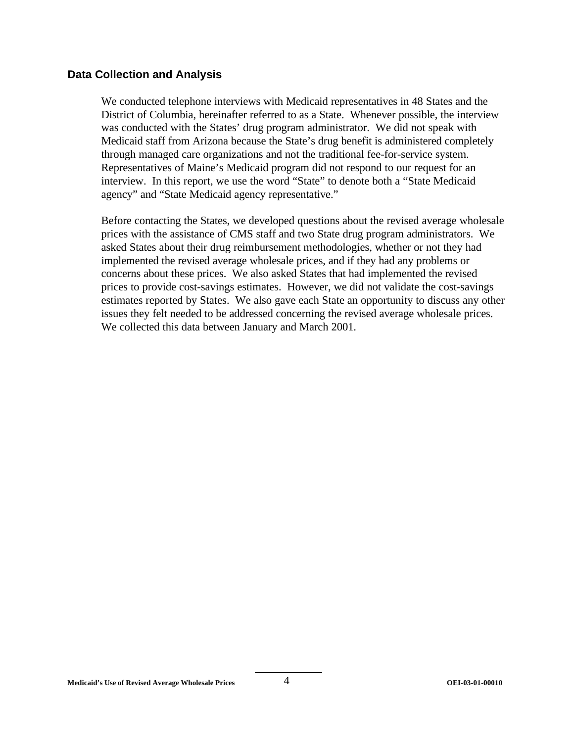#### **Data Collection and Analysis**

We conducted telephone interviews with Medicaid representatives in 48 States and the District of Columbia, hereinafter referred to as a State. Whenever possible, the interview was conducted with the States' drug program administrator. We did not speak with Medicaid staff from Arizona because the State's drug benefit is administered completely through managed care organizations and not the traditional fee-for-service system. Representatives of Maine's Medicaid program did not respond to our request for an interview. In this report, we use the word "State" to denote both a "State Medicaid agency" and "State Medicaid agency representative."

Before contacting the States, we developed questions about the revised average wholesale prices with the assistance of CMS staff and two State drug program administrators. We asked States about their drug reimbursement methodologies, whether or not they had implemented the revised average wholesale prices, and if they had any problems or concerns about these prices. We also asked States that had implemented the revised prices to provide cost-savings estimates. However, we did not validate the cost-savings estimates reported by States. We also gave each State an opportunity to discuss any other issues they felt needed to be addressed concerning the revised average wholesale prices. We collected this data between January and March 2001.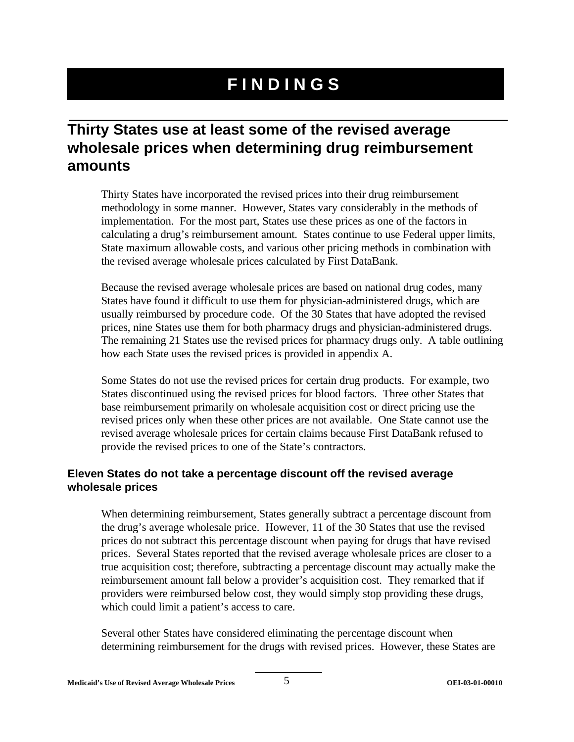# **FINDINGS**

# **Thirty States use at least some of the revised average wholesale prices when determining drug reimbursement amounts**

Thirty States have incorporated the revised prices into their drug reimbursement methodology in some manner. However, States vary considerably in the methods of implementation. For the most part, States use these prices as one of the factors in calculating a drug's reimbursement amount. States continue to use Federal upper limits, State maximum allowable costs, and various other pricing methods in combination with the revised average wholesale prices calculated by First DataBank.

Because the revised average wholesale prices are based on national drug codes, many States have found it difficult to use them for physician-administered drugs, which are usually reimbursed by procedure code. Of the 30 States that have adopted the revised prices, nine States use them for both pharmacy drugs and physician-administered drugs. The remaining 21 States use the revised prices for pharmacy drugs only. A table outlining how each State uses the revised prices is provided in appendix A.

Some States do not use the revised prices for certain drug products. For example, two States discontinued using the revised prices for blood factors. Three other States that base reimbursement primarily on wholesale acquisition cost or direct pricing use the revised prices only when these other prices are not available. One State cannot use the revised average wholesale prices for certain claims because First DataBank refused to provide the revised prices to one of the State's contractors.

#### **Eleven States do not take a percentage discount off the revised average wholesale prices**

When determining reimbursement, States generally subtract a percentage discount from the drug's average wholesale price. However, 11 of the 30 States that use the revised prices do not subtract this percentage discount when paying for drugs that have revised prices. Several States reported that the revised average wholesale prices are closer to a true acquisition cost; therefore, subtracting a percentage discount may actually make the reimbursement amount fall below a provider's acquisition cost. They remarked that if providers were reimbursed below cost, they would simply stop providing these drugs, which could limit a patient's access to care.

Several other States have considered eliminating the percentage discount when determining reimbursement for the drugs with revised prices. However, these States are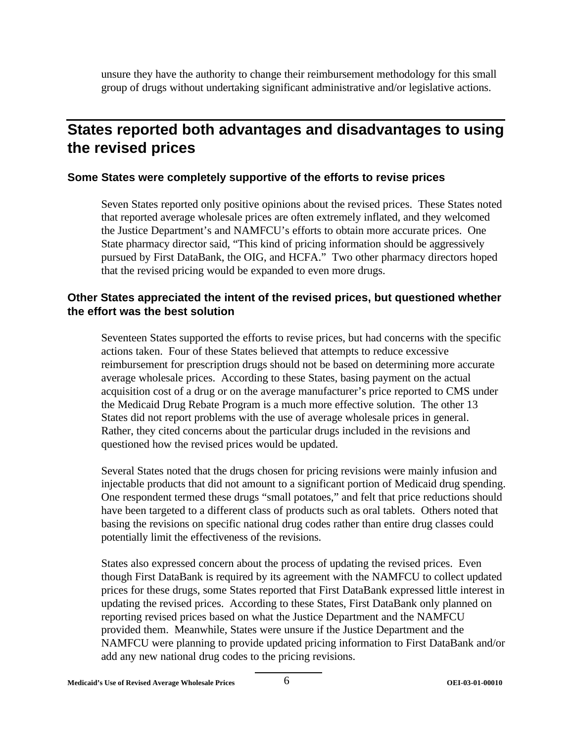unsure they have the authority to change their reimbursement methodology for this small group of drugs without undertaking significant administrative and/or legislative actions.

# **States reported both advantages and disadvantages to using the revised prices**

#### **Some States were completely supportive of the efforts to revise prices**

Seven States reported only positive opinions about the revised prices. These States noted that reported average wholesale prices are often extremely inflated, and they welcomed the Justice Department's and NAMFCU's efforts to obtain more accurate prices. One State pharmacy director said, "This kind of pricing information should be aggressively pursued by First DataBank, the OIG, and HCFA." Two other pharmacy directors hoped that the revised pricing would be expanded to even more drugs.

#### **Other States appreciated the intent of the revised prices, but questioned whether the effort was the best solution**

Seventeen States supported the efforts to revise prices, but had concerns with the specific actions taken. Four of these States believed that attempts to reduce excessive reimbursement for prescription drugs should not be based on determining more accurate average wholesale prices. According to these States, basing payment on the actual acquisition cost of a drug or on the average manufacturer's price reported to CMS under the Medicaid Drug Rebate Program is a much more effective solution. The other 13 States did not report problems with the use of average wholesale prices in general. Rather, they cited concerns about the particular drugs included in the revisions and questioned how the revised prices would be updated.

Several States noted that the drugs chosen for pricing revisions were mainly infusion and injectable products that did not amount to a significant portion of Medicaid drug spending. One respondent termed these drugs "small potatoes," and felt that price reductions should have been targeted to a different class of products such as oral tablets. Others noted that basing the revisions on specific national drug codes rather than entire drug classes could potentially limit the effectiveness of the revisions.

States also expressed concern about the process of updating the revised prices. Even though First DataBank is required by its agreement with the NAMFCU to collect updated prices for these drugs, some States reported that First DataBank expressed little interest in updating the revised prices. According to these States, First DataBank only planned on reporting revised prices based on what the Justice Department and the NAMFCU provided them. Meanwhile, States were unsure if the Justice Department and the NAMFCU were planning to provide updated pricing information to First DataBank and/or add any new national drug codes to the pricing revisions.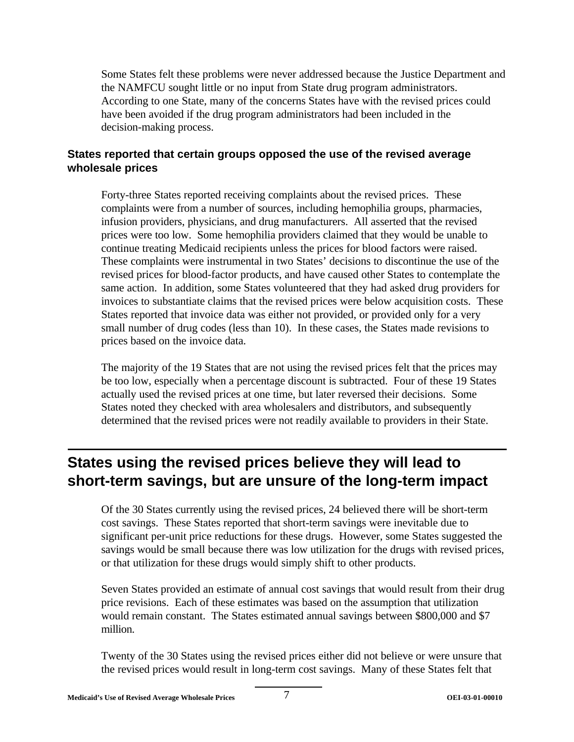Some States felt these problems were never addressed because the Justice Department and the NAMFCU sought little or no input from State drug program administrators. According to one State, many of the concerns States have with the revised prices could have been avoided if the drug program administrators had been included in the decision-making process.

#### **States reported that certain groups opposed the use of the revised average wholesale prices**

Forty-three States reported receiving complaints about the revised prices. These complaints were from a number of sources, including hemophilia groups, pharmacies, infusion providers, physicians, and drug manufacturers. All asserted that the revised prices were too low. Some hemophilia providers claimed that they would be unable to continue treating Medicaid recipients unless the prices for blood factors were raised. These complaints were instrumental in two States' decisions to discontinue the use of the revised prices for blood-factor products, and have caused other States to contemplate the same action. In addition, some States volunteered that they had asked drug providers for invoices to substantiate claims that the revised prices were below acquisition costs. These States reported that invoice data was either not provided, or provided only for a very small number of drug codes (less than 10). In these cases, the States made revisions to prices based on the invoice data.

The majority of the 19 States that are not using the revised prices felt that the prices may be too low, especially when a percentage discount is subtracted. Four of these 19 States actually used the revised prices at one time, but later reversed their decisions. Some States noted they checked with area wholesalers and distributors, and subsequently determined that the revised prices were not readily available to providers in their State.

# **States using the revised prices believe they will lead to short-term savings, but are unsure of the long-term impact**

Of the 30 States currently using the revised prices, 24 believed there will be short-term cost savings. These States reported that short-term savings were inevitable due to significant per-unit price reductions for these drugs. However, some States suggested the savings would be small because there was low utilization for the drugs with revised prices, or that utilization for these drugs would simply shift to other products.

Seven States provided an estimate of annual cost savings that would result from their drug price revisions. Each of these estimates was based on the assumption that utilization would remain constant. The States estimated annual savings between \$800,000 and \$7 million.

Twenty of the 30 States using the revised prices either did not believe or were unsure that the revised prices would result in long-term cost savings. Many of these States felt that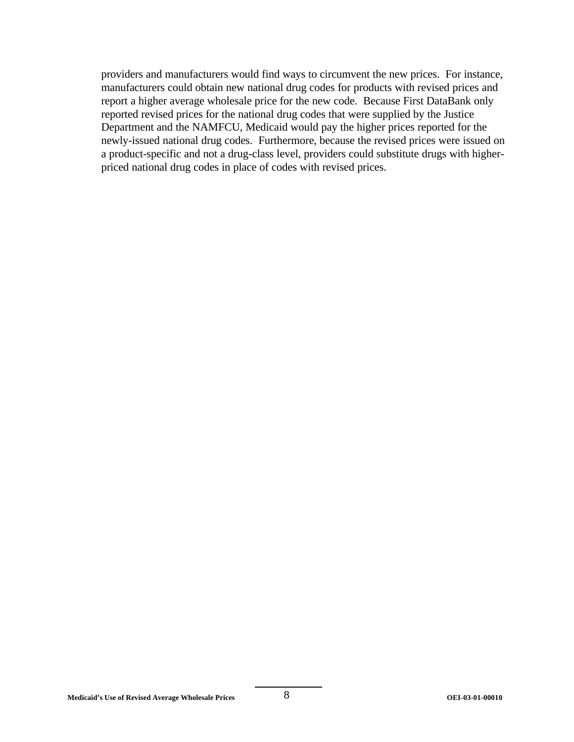providers and manufacturers would find ways to circumvent the new prices. For instance, manufacturers could obtain new national drug codes for products with revised prices and report a higher average wholesale price for the new code. Because First DataBank only reported revised prices for the national drug codes that were supplied by the Justice Department and the NAMFCU, Medicaid would pay the higher prices reported for the newly-issued national drug codes. Furthermore, because the revised prices were issued on a product-specific and not a drug-class level, providers could substitute drugs with higherpriced national drug codes in place of codes with revised prices.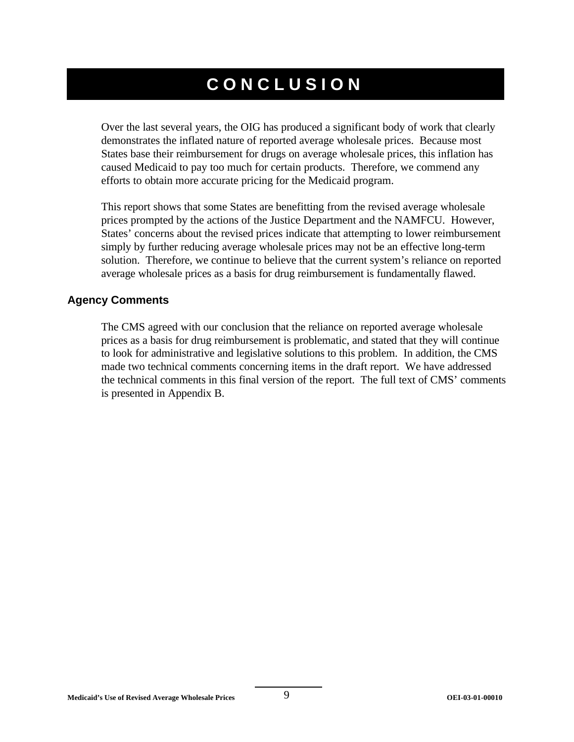# **CONCLUSION**

Over the last several years, the OIG has produced a significant body of work that clearly demonstrates the inflated nature of reported average wholesale prices. Because most States base their reimbursement for drugs on average wholesale prices, this inflation has caused Medicaid to pay too much for certain products. Therefore, we commend any efforts to obtain more accurate pricing for the Medicaid program.

This report shows that some States are benefitting from the revised average wholesale prices prompted by the actions of the Justice Department and the NAMFCU. However, States' concerns about the revised prices indicate that attempting to lower reimbursement simply by further reducing average wholesale prices may not be an effective long-term solution. Therefore, we continue to believe that the current system's reliance on reported average wholesale prices as a basis for drug reimbursement is fundamentally flawed.

#### **Agency Comments**

The CMS agreed with our conclusion that the reliance on reported average wholesale prices as a basis for drug reimbursement is problematic, and stated that they will continue to look for administrative and legislative solutions to this problem. In addition, the CMS made two technical comments concerning items in the draft report. We have addressed the technical comments in this final version of the report. The full text of CMS' comments is presented in Appendix B.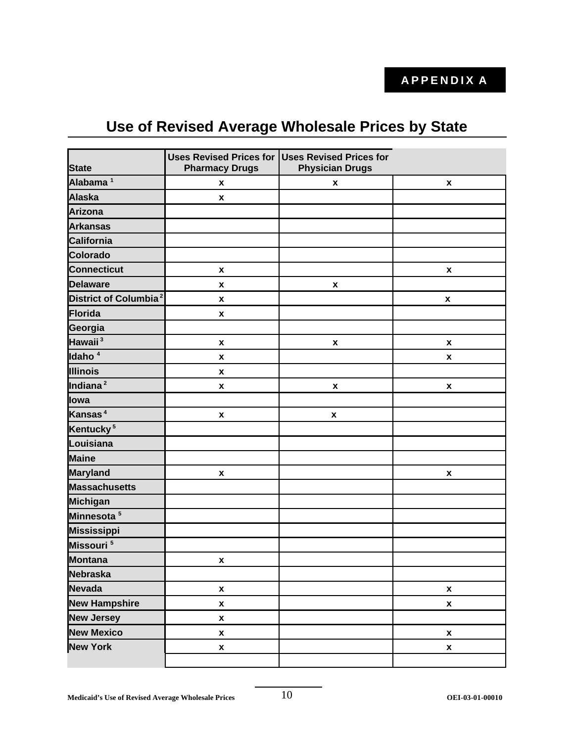# **Use of Revised Average Wholesale Prices by State**

| <b>State</b>                      | <b>Uses Revised Prices for</b><br><b>Pharmacy Drugs</b> | <b>Uses Revised Prices for</b><br><b>Physician Drugs</b> |                    |
|-----------------------------------|---------------------------------------------------------|----------------------------------------------------------|--------------------|
| Alabama <sup>1</sup>              | $\pmb{\mathsf{x}}$                                      | X                                                        | X                  |
| <b>Alaska</b>                     | $\pmb{\mathsf{x}}$                                      |                                                          |                    |
| <b>Arizona</b>                    |                                                         |                                                          |                    |
| <b>Arkansas</b>                   |                                                         |                                                          |                    |
| California                        |                                                         |                                                          |                    |
| <b>Colorado</b>                   |                                                         |                                                          |                    |
| <b>Connecticut</b>                | $\pmb{\mathsf{x}}$                                      |                                                          | $\pmb{\mathsf{x}}$ |
| <b>Delaware</b>                   | $\pmb{\mathsf{x}}$                                      | $\pmb{\mathsf{x}}$                                       |                    |
| District of Columbia <sup>2</sup> | X                                                       |                                                          | $\pmb{\mathsf{x}}$ |
| Florida                           | X                                                       |                                                          |                    |
| Georgia                           |                                                         |                                                          |                    |
| Hawaii <sup>3</sup>               | $\pmb{\mathsf{x}}$                                      | $\pmb{\mathsf{x}}$                                       | $\pmb{\mathsf{x}}$ |
| Idaho <sup>4</sup>                | $\pmb{\mathsf{x}}$                                      |                                                          | X                  |
| <b>Illinois</b>                   | $\pmb{\mathsf{x}}$                                      |                                                          |                    |
| Indiana <sup>2</sup>              | $\pmb{\mathsf{x}}$                                      | $\pmb{\mathsf{x}}$                                       | $\pmb{\mathsf{x}}$ |
| lowa                              |                                                         |                                                          |                    |
| Kansas <sup>4</sup>               | $\pmb{\mathsf{x}}$                                      | $\pmb{\mathsf{x}}$                                       |                    |
| Kentucky <sup>5</sup>             |                                                         |                                                          |                    |
| Louisiana                         |                                                         |                                                          |                    |
| <b>Maine</b>                      |                                                         |                                                          |                    |
| <b>Maryland</b>                   | X                                                       |                                                          | X                  |
| <b>Massachusetts</b>              |                                                         |                                                          |                    |
| <b>Michigan</b>                   |                                                         |                                                          |                    |
| Minnesota <sup>5</sup>            |                                                         |                                                          |                    |
| <b>Mississippi</b>                |                                                         |                                                          |                    |
| Missouri <sup>5</sup>             |                                                         |                                                          |                    |
| <b>Montana</b>                    | $\pmb{\mathsf{x}}$                                      |                                                          |                    |
| <b>Nebraska</b>                   |                                                         |                                                          |                    |
| <b>Nevada</b>                     | $\pmb{\mathsf{x}}$                                      |                                                          | $\pmb{\mathsf{x}}$ |
| <b>New Hampshire</b>              | $\pmb{\mathsf{x}}$                                      |                                                          | X                  |
| <b>New Jersey</b>                 | $\pmb{\mathsf{x}}$                                      |                                                          |                    |
| <b>New Mexico</b>                 | $\pmb{\mathsf{x}}$                                      |                                                          | $\pmb{\mathsf{x}}$ |
| <b>New York</b>                   | $\pmb{\mathsf{x}}$                                      |                                                          | $\pmb{\mathsf{x}}$ |
|                                   |                                                         |                                                          |                    |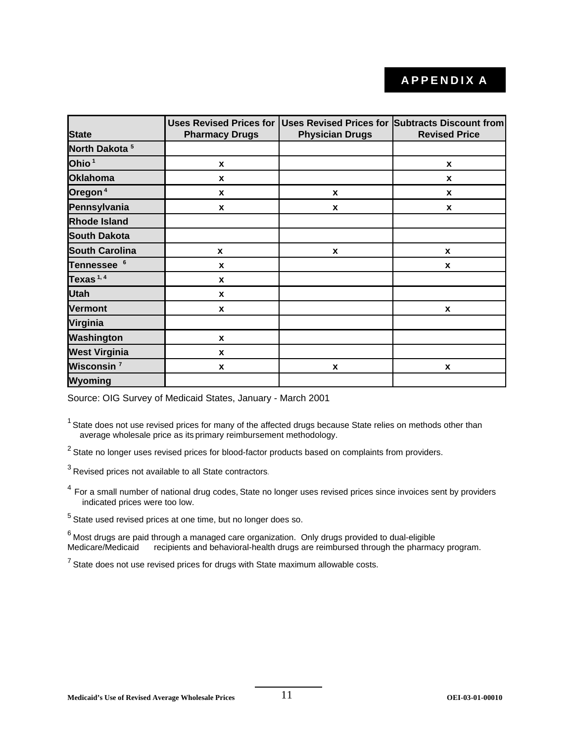# **APPENDIX A**

| <b>State</b>              | <b>Pharmacy Drugs</b> | <b>Physician Drugs</b> | Uses Revised Prices for Uses Revised Prices for Subtracts Discount from<br><b>Revised Price</b> |
|---------------------------|-----------------------|------------------------|-------------------------------------------------------------------------------------------------|
| North Dakota <sup>5</sup> |                       |                        |                                                                                                 |
| Ohio <sup>1</sup>         | X                     |                        | X                                                                                               |
| <b>Oklahoma</b>           | X                     |                        | X                                                                                               |
| Oregon <sup>4</sup>       | X                     | X                      | X                                                                                               |
| Pennsylvania              | X                     | X                      | X                                                                                               |
| <b>Rhode Island</b>       |                       |                        |                                                                                                 |
| <b>South Dakota</b>       |                       |                        |                                                                                                 |
| <b>South Carolina</b>     | $\mathbf{x}$          | $\mathbf x$            | X                                                                                               |
| Tennessee <sup>6</sup>    | X                     |                        | X                                                                                               |
| Texas $1,4$               | X                     |                        |                                                                                                 |
| <b>Utah</b>               | X                     |                        |                                                                                                 |
| <b>Vermont</b>            | X                     |                        | X                                                                                               |
| Virginia                  |                       |                        |                                                                                                 |
| Washington                | X                     |                        |                                                                                                 |
| <b>West Virginia</b>      | X                     |                        |                                                                                                 |
| Wisconsin <sup>7</sup>    | X                     | X                      | X                                                                                               |
| Wyoming                   |                       |                        |                                                                                                 |

Source: OIG Survey of Medicaid States, January - March 2001

 $1$  State does not use revised prices for many of the affected drugs because State relies on methods other than average wholesale price as its primary reimbursement methodology.

 $2$  State no longer uses revised prices for blood-factor products based on complaints from providers.

 $3$  Revised prices not available to all State contractors.

<sup>4</sup> For a small number of national drug codes, State no longer uses revised prices since invoices sent by providers indicated prices were too low.

 $<sup>5</sup>$  State used revised prices at one time, but no longer does so.</sup>

 $^6$  Most drugs are paid through a managed care organization. Only drugs provided to dual-eligible Medicare/Medicaid recipients and behavioral-health drugs are reimbursed through the pharmacy program.

 $<sup>7</sup>$  State does not use revised prices for drugs with State maximum allowable costs.</sup>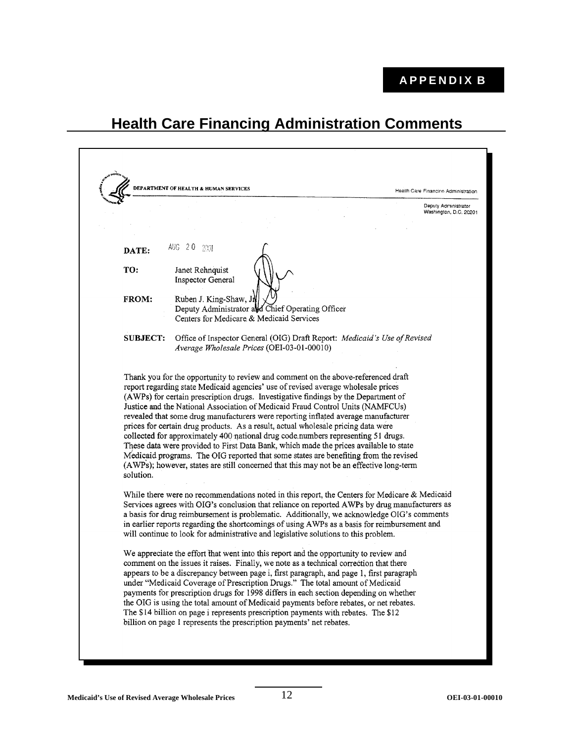#### **APPENDIX B**

# **Health Care Financing Administration Comments**

**DEPARTMENT OF HEALTH & HUMAN SERVICES Health Care Financino Administration** Deputy Administrator Washington, D.C. 20201 AUG 2.0 2001 DATE: TO: Janet Rehnquist **Inspector General FROM:** Ruben J. King-Shaw, J Deputy Administrator and Chief Operating Officer Centers for Medicare & Medicaid Services **SUBJECT:** Office of Inspector General (OIG) Draft Report: Medicaid's Use of Revised Average Wholesale Prices (OEI-03-01-00010) Thank you for the opportunity to review and comment on the above-referenced draft report regarding state Medicaid agencies' use of revised average wholesale prices (AWPs) for certain prescription drugs. Investigative findings by the Department of Justice and the National Association of Medicaid Fraud Control Units (NAMFCUs) revealed that some drug manufacturers were reporting inflated average manufacturer prices for certain drug products. As a result, actual wholesale pricing data were collected for approximately 400 national drug code numbers representing 51 drugs. These data were provided to First Data Bank, which made the prices available to state Medicaid programs. The OIG reported that some states are benefiting from the revised (AWPs); however, states are still concerned that this may not be an effective long-term solution. While there were no recommendations noted in this report, the Centers for Medicare & Medicaid Services agrees with OIG's conclusion that reliance on reported AWPs by drug manufacturers as a basis for drug reimbursement is problematic. Additionally, we acknowledge OIG's comments in earlier reports regarding the shortcomings of using AWPs as a basis for reimbursement and will continue to look for administrative and legislative solutions to this problem. We appreciate the effort that went into this report and the opportunity to review and comment on the issues it raises. Finally, we note as a technical correction that there appears to be a discrepancy between page i, first paragraph, and page 1, first paragraph under "Medicaid Coverage of Prescription Drugs." The total amount of Medicaid payments for prescription drugs for 1998 differs in each section depending on whether the OIG is using the total amount of Medicaid payments before rebates, or net rebates. The \$14 billion on page i represents prescription payments with rebates. The \$12 billion on page 1 represents the prescription payments' net rebates.